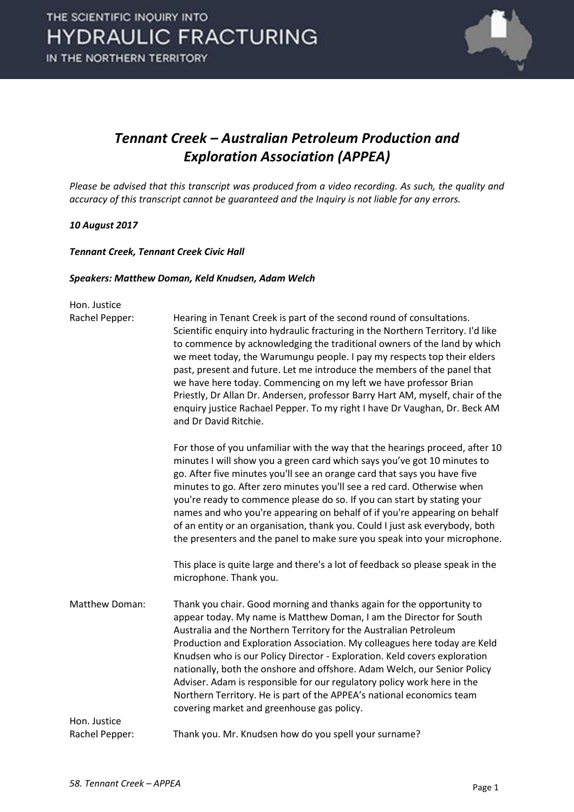

#### *Tennant Creek – Australian Petroleum Production and Exploration Association (APPEA)*

*Please be advised that this transcript was produced from a video recording. As such, the quality and accuracy of this transcript cannot be guaranteed and the Inquiry is not liable for any errors.*

#### *10 August 2017*

*Tennant Creek, Tennant Creek Civic Hall*

#### *Speakers: Matthew Doman, Keld Knudsen, Adam Welch*

| Hon. Justice   |                                                                                                                                                                                                                                                                                                                                                                                                                                                                                                                                                                                                                                                            |
|----------------|------------------------------------------------------------------------------------------------------------------------------------------------------------------------------------------------------------------------------------------------------------------------------------------------------------------------------------------------------------------------------------------------------------------------------------------------------------------------------------------------------------------------------------------------------------------------------------------------------------------------------------------------------------|
| Rachel Pepper: | Hearing in Tenant Creek is part of the second round of consultations.<br>Scientific enquiry into hydraulic fracturing in the Northern Territory. I'd like<br>to commence by acknowledging the traditional owners of the land by which<br>we meet today, the Warumungu people. I pay my respects top their elders<br>past, present and future. Let me introduce the members of the panel that<br>we have here today. Commencing on my left we have professor Brian<br>Priestly, Dr Allan Dr. Andersen, professor Barry Hart AM, myself, chair of the<br>enquiry justice Rachael Pepper. To my right I have Dr Vaughan, Dr. Beck AM<br>and Dr David Ritchie. |
|                | For those of you unfamiliar with the way that the hearings proceed, after 10<br>minutes I will show you a green card which says you've got 10 minutes to<br>go. After five minutes you'll see an orange card that says you have five<br>minutes to go. After zero minutes you'll see a red card. Otherwise when<br>you're ready to commence please do so. If you can start by stating your<br>names and who you're appearing on behalf of if you're appearing on behalf<br>of an entity or an organisation, thank you. Could I just ask everybody, both<br>the presenters and the panel to make sure you speak into your microphone.                       |
|                | This place is quite large and there's a lot of feedback so please speak in the<br>microphone. Thank you.                                                                                                                                                                                                                                                                                                                                                                                                                                                                                                                                                   |
| Matthew Doman: | Thank you chair. Good morning and thanks again for the opportunity to<br>appear today. My name is Matthew Doman, I am the Director for South<br>Australia and the Northern Territory for the Australian Petroleum<br>Production and Exploration Association. My colleagues here today are Keld<br>Knudsen who is our Policy Director - Exploration. Keld covers exploration<br>nationally, both the onshore and offshore. Adam Welch, our Senior Policy<br>Adviser. Adam is responsible for our regulatory policy work here in the<br>Northern Territory. He is part of the APPEA's national economics team<br>covering market and greenhouse gas policy.  |
| Hon. Justice   |                                                                                                                                                                                                                                                                                                                                                                                                                                                                                                                                                                                                                                                            |
| Rachel Pepper: | Thank you. Mr. Knudsen how do you spell your surname?                                                                                                                                                                                                                                                                                                                                                                                                                                                                                                                                                                                                      |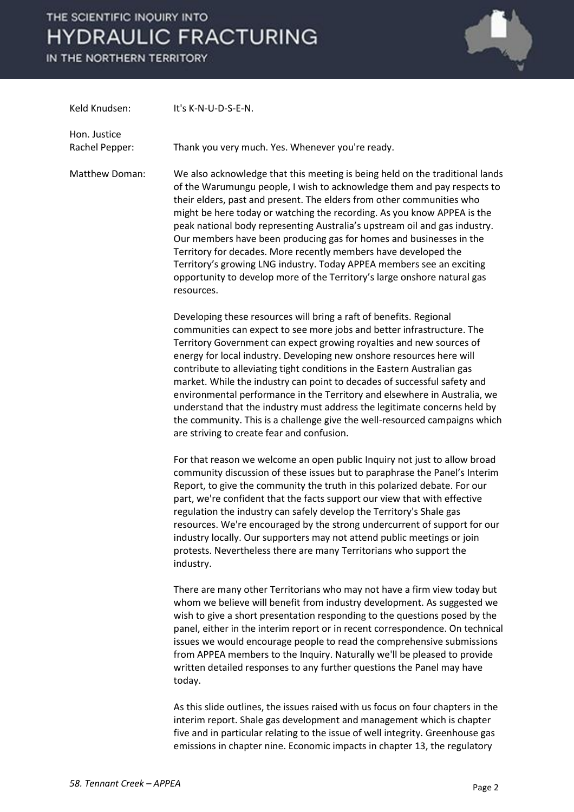IN THE NORTHERN TERRITORY



| Keld Knudsen:                  | It's K-N-U-D-S-E-N.                                                                                                                                                                                                                                                                                                                                                                                                                                                                                                                                                                                                                                                                                                                         |
|--------------------------------|---------------------------------------------------------------------------------------------------------------------------------------------------------------------------------------------------------------------------------------------------------------------------------------------------------------------------------------------------------------------------------------------------------------------------------------------------------------------------------------------------------------------------------------------------------------------------------------------------------------------------------------------------------------------------------------------------------------------------------------------|
| Hon. Justice<br>Rachel Pepper: | Thank you very much. Yes. Whenever you're ready.                                                                                                                                                                                                                                                                                                                                                                                                                                                                                                                                                                                                                                                                                            |
|                                |                                                                                                                                                                                                                                                                                                                                                                                                                                                                                                                                                                                                                                                                                                                                             |
| Matthew Doman:                 | We also acknowledge that this meeting is being held on the traditional lands<br>of the Warumungu people, I wish to acknowledge them and pay respects to<br>their elders, past and present. The elders from other communities who<br>might be here today or watching the recording. As you know APPEA is the<br>peak national body representing Australia's upstream oil and gas industry.<br>Our members have been producing gas for homes and businesses in the<br>Territory for decades. More recently members have developed the<br>Territory's growing LNG industry. Today APPEA members see an exciting<br>opportunity to develop more of the Territory's large onshore natural gas<br>resources.                                      |
|                                | Developing these resources will bring a raft of benefits. Regional<br>communities can expect to see more jobs and better infrastructure. The<br>Territory Government can expect growing royalties and new sources of<br>energy for local industry. Developing new onshore resources here will<br>contribute to alleviating tight conditions in the Eastern Australian gas<br>market. While the industry can point to decades of successful safety and<br>environmental performance in the Territory and elsewhere in Australia, we<br>understand that the industry must address the legitimate concerns held by<br>the community. This is a challenge give the well-resourced campaigns which<br>are striving to create fear and confusion. |
|                                | For that reason we welcome an open public Inquiry not just to allow broad<br>community discussion of these issues but to paraphrase the Panel's Interim<br>Report, to give the community the truth in this polarized debate. For our<br>part, we're confident that the facts support our view that with effective<br>regulation the industry can safely develop the Territory's Shale gas<br>resources. We're encouraged by the strong undercurrent of support for our<br>industry locally. Our supporters may not attend public meetings or join<br>protests. Nevertheless there are many Territorians who support the<br>industry.                                                                                                        |
|                                | There are many other Territorians who may not have a firm view today but<br>whom we believe will benefit from industry development. As suggested we<br>wish to give a short presentation responding to the questions posed by the<br>panel, either in the interim report or in recent correspondence. On technical<br>issues we would encourage people to read the comprehensive submissions<br>from APPEA members to the Inquiry. Naturally we'll be pleased to provide<br>written detailed responses to any further questions the Panel may have<br>today.                                                                                                                                                                                |
|                                | As this slide outlines, the issues raised with us focus on four chapters in the<br>interim report. Shale gas development and management which is chapter                                                                                                                                                                                                                                                                                                                                                                                                                                                                                                                                                                                    |

five and in particular relating to the issue of well integrity. Greenhouse gas emissions in chapter nine. Economic impacts in chapter 13, the regulatory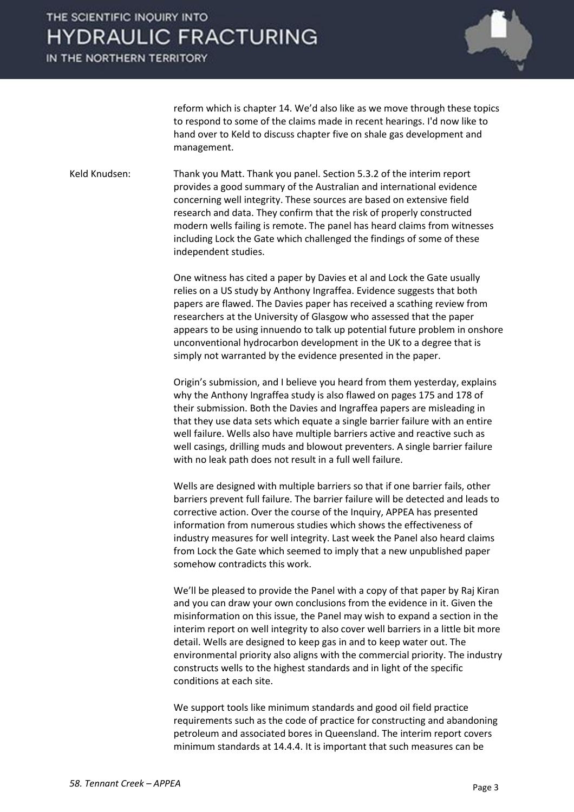IN THE NORTHERN TERRITORY



reform which is chapter 14. We'd also like as we move through these topics to respond to some of the claims made in recent hearings. I'd now like to hand over to Keld to discuss chapter five on shale gas development and management.

Keld Knudsen: Thank you Matt. Thank you panel. Section 5.3.2 of the interim report provides a good summary of the Australian and international evidence concerning well integrity. These sources are based on extensive field research and data. They confirm that the risk of properly constructed modern wells failing is remote. The panel has heard claims from witnesses including Lock the Gate which challenged the findings of some of these independent studies.

> One witness has cited a paper by Davies et al and Lock the Gate usually relies on a US study by Anthony Ingraffea. Evidence suggests that both papers are flawed. The Davies paper has received a scathing review from researchers at the University of Glasgow who assessed that the paper appears to be using innuendo to talk up potential future problem in onshore unconventional hydrocarbon development in the UK to a degree that is simply not warranted by the evidence presented in the paper.

Origin's submission, and I believe you heard from them yesterday, explains why the Anthony Ingraffea study is also flawed on pages 175 and 178 of their submission. Both the Davies and Ingraffea papers are misleading in that they use data sets which equate a single barrier failure with an entire well failure. Wells also have multiple barriers active and reactive such as well casings, drilling muds and blowout preventers. A single barrier failure with no leak path does not result in a full well failure.

Wells are designed with multiple barriers so that if one barrier fails, other barriers prevent full failure. The barrier failure will be detected and leads to corrective action. Over the course of the Inquiry, APPEA has presented information from numerous studies which shows the effectiveness of industry measures for well integrity. Last week the Panel also heard claims from Lock the Gate which seemed to imply that a new unpublished paper somehow contradicts this work.

We'll be pleased to provide the Panel with a copy of that paper by Raj Kiran and you can draw your own conclusions from the evidence in it. Given the misinformation on this issue, the Panel may wish to expand a section in the interim report on well integrity to also cover well barriers in a little bit more detail. Wells are designed to keep gas in and to keep water out. The environmental priority also aligns with the commercial priority. The industry constructs wells to the highest standards and in light of the specific conditions at each site.

We support tools like minimum standards and good oil field practice requirements such as the code of practice for constructing and abandoning petroleum and associated bores in Queensland. The interim report covers minimum standards at 14.4.4. It is important that such measures can be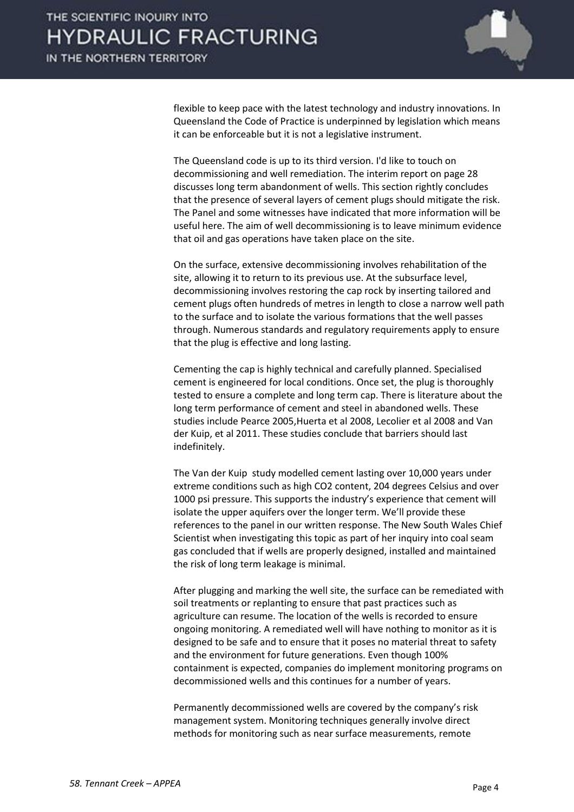

flexible to keep pace with the latest technology and industry innovations. In Queensland the Code of Practice is underpinned by legislation which means it can be enforceable but it is not a legislative instrument.

The Queensland code is up to its third version. I'd like to touch on decommissioning and well remediation. The interim report on page 28 discusses long term abandonment of wells. This section rightly concludes that the presence of several layers of cement plugs should mitigate the risk. The Panel and some witnesses have indicated that more information will be useful here. The aim of well decommissioning is to leave minimum evidence that oil and gas operations have taken place on the site.

On the surface, extensive decommissioning involves rehabilitation of the site, allowing it to return to its previous use. At the subsurface level, decommissioning involves restoring the cap rock by inserting tailored and cement plugs often hundreds of metres in length to close a narrow well path to the surface and to isolate the various formations that the well passes through. Numerous standards and regulatory requirements apply to ensure that the plug is effective and long lasting.

Cementing the cap is highly technical and carefully planned. Specialised cement is engineered for local conditions. Once set, the plug is thoroughly tested to ensure a complete and long term cap. There is literature about the long term performance of cement and steel in abandoned wells. These studies include Pearce 2005,Huerta et al 2008, Lecolier et al 2008 and Van der Kuip, et al 2011. These studies conclude that barriers should last indefinitely.

The Van der Kuip study modelled cement lasting over 10,000 years under extreme conditions such as high CO2 content, 204 degrees Celsius and over 1000 psi pressure. This supports the industry's experience that cement will isolate the upper aquifers over the longer term. We'll provide these references to the panel in our written response. The New South Wales Chief Scientist when investigating this topic as part of her inquiry into coal seam gas concluded that if wells are properly designed, installed and maintained the risk of long term leakage is minimal.

After plugging and marking the well site, the surface can be remediated with soil treatments or replanting to ensure that past practices such as agriculture can resume. The location of the wells is recorded to ensure ongoing monitoring. A remediated well will have nothing to monitor as it is designed to be safe and to ensure that it poses no material threat to safety and the environment for future generations. Even though 100% containment is expected, companies do implement monitoring programs on decommissioned wells and this continues for a number of years.

Permanently decommissioned wells are covered by the company's risk management system. Monitoring techniques generally involve direct methods for monitoring such as near surface measurements, remote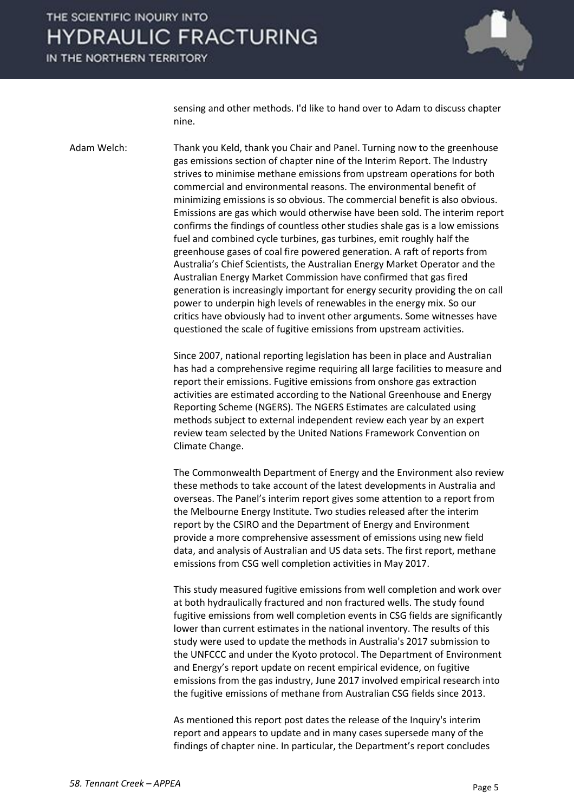IN THE NORTHERN TERRITORY



sensing and other methods. I'd like to hand over to Adam to discuss chapter nine.

Adam Welch: Thank you Keld, thank you Chair and Panel. Turning now to the greenhouse gas emissions section of chapter nine of the Interim Report. The Industry strives to minimise methane emissions from upstream operations for both commercial and environmental reasons. The environmental benefit of minimizing emissions is so obvious. The commercial benefit is also obvious. Emissions are gas which would otherwise have been sold. The interim report confirms the findings of countless other studies shale gas is a low emissions fuel and combined cycle turbines, gas turbines, emit roughly half the greenhouse gases of coal fire powered generation. A raft of reports from Australia's Chief Scientists, the Australian Energy Market Operator and the Australian Energy Market Commission have confirmed that gas fired generation is increasingly important for energy security providing the on call power to underpin high levels of renewables in the energy mix. So our critics have obviously had to invent other arguments. Some witnesses have questioned the scale of fugitive emissions from upstream activities.

> Since 2007, national reporting legislation has been in place and Australian has had a comprehensive regime requiring all large facilities to measure and report their emissions. Fugitive emissions from onshore gas extraction activities are estimated according to the National Greenhouse and Energy Reporting Scheme (NGERS). The NGERS Estimates are calculated using methods subject to external independent review each year by an expert review team selected by the United Nations Framework Convention on Climate Change.

> The Commonwealth Department of Energy and the Environment also review these methods to take account of the latest developments in Australia and overseas. The Panel's interim report gives some attention to a report from the Melbourne Energy Institute. Two studies released after the interim report by the CSIRO and the Department of Energy and Environment provide a more comprehensive assessment of emissions using new field data, and analysis of Australian and US data sets. The first report, methane emissions from CSG well completion activities in May 2017.

> This study measured fugitive emissions from well completion and work over at both hydraulically fractured and non fractured wells. The study found fugitive emissions from well completion events in CSG fields are significantly lower than current estimates in the national inventory. The results of this study were used to update the methods in Australia's 2017 submission to the UNFCCC and under the Kyoto protocol. The Department of Environment and Energy's report update on recent empirical evidence, on fugitive emissions from the gas industry, June 2017 involved empirical research into the fugitive emissions of methane from Australian CSG fields since 2013.

As mentioned this report post dates the release of the Inquiry's interim report and appears to update and in many cases supersede many of the findings of chapter nine. In particular, the Department's report concludes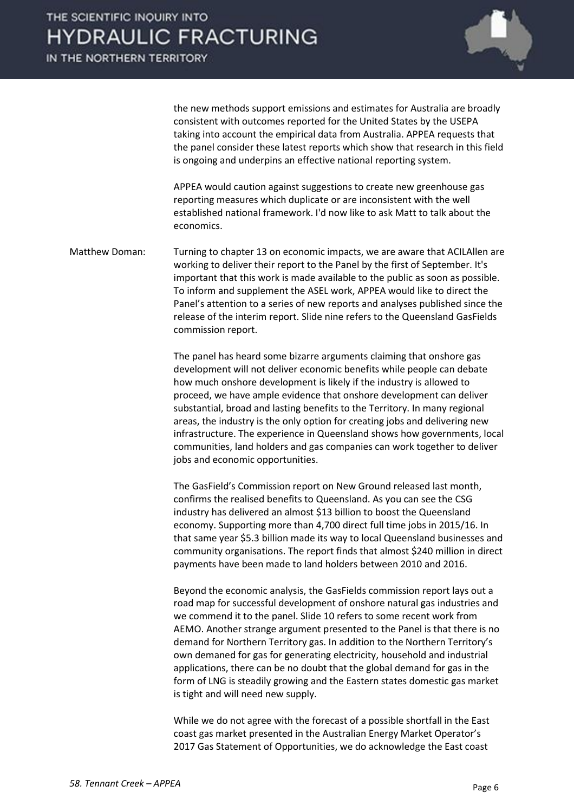

the new methods support emissions and estimates for Australia are broadly consistent with outcomes reported for the United States by the USEPA taking into account the empirical data from Australia. APPEA requests that the panel consider these latest reports which show that research in this field is ongoing and underpins an effective national reporting system.

APPEA would caution against suggestions to create new greenhouse gas reporting measures which duplicate or are inconsistent with the well established national framework. I'd now like to ask Matt to talk about the economics.

Matthew Doman: Turning to chapter 13 on economic impacts, we are aware that ACILAllen are working to deliver their report to the Panel by the first of September. It's important that this work is made available to the public as soon as possible. To inform and supplement the ASEL work, APPEA would like to direct the Panel's attention to a series of new reports and analyses published since the release of the interim report. Slide nine refers to the Queensland GasFields commission report.

> The panel has heard some bizarre arguments claiming that onshore gas development will not deliver economic benefits while people can debate how much onshore development is likely if the industry is allowed to proceed, we have ample evidence that onshore development can deliver substantial, broad and lasting benefits to the Territory. In many regional areas, the industry is the only option for creating jobs and delivering new infrastructure. The experience in Queensland shows how governments, local communities, land holders and gas companies can work together to deliver jobs and economic opportunities.

> The GasField's Commission report on New Ground released last month, confirms the realised benefits to Queensland. As you can see the CSG industry has delivered an almost \$13 billion to boost the Queensland economy. Supporting more than 4,700 direct full time jobs in 2015/16. In that same year \$5.3 billion made its way to local Queensland businesses and community organisations. The report finds that almost \$240 million in direct payments have been made to land holders between 2010 and 2016.

Beyond the economic analysis, the GasFields commission report lays out a road map for successful development of onshore natural gas industries and we commend it to the panel. Slide 10 refers to some recent work from AEMO. Another strange argument presented to the Panel is that there is no demand for Northern Territory gas. In addition to the Northern Territory's own demaned for gas for generating electricity, household and industrial applications, there can be no doubt that the global demand for gas in the form of LNG is steadily growing and the Eastern states domestic gas market is tight and will need new supply.

While we do not agree with the forecast of a possible shortfall in the East coast gas market presented in the Australian Energy Market Operator's 2017 Gas Statement of Opportunities, we do acknowledge the East coast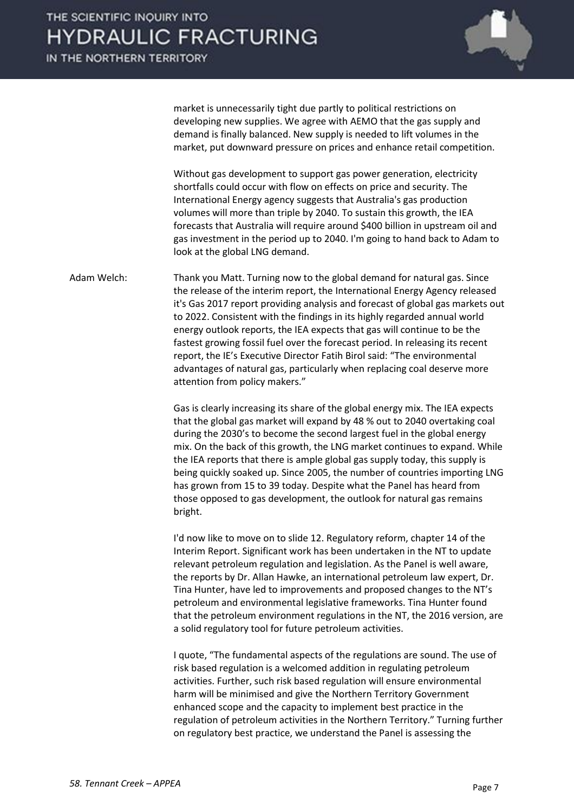

market is unnecessarily tight due partly to political restrictions on developing new supplies. We agree with AEMO that the gas supply and demand is finally balanced. New supply is needed to lift volumes in the market, put downward pressure on prices and enhance retail competition.

Without gas development to support gas power generation, electricity shortfalls could occur with flow on effects on price and security. The International Energy agency suggests that Australia's gas production volumes will more than triple by 2040. To sustain this growth, the IEA forecasts that Australia will require around \$400 billion in upstream oil and gas investment in the period up to 2040. I'm going to hand back to Adam to look at the global LNG demand.

Adam Welch: Thank you Matt. Turning now to the global demand for natural gas. Since the release of the interim report, the International Energy Agency released it's Gas 2017 report providing analysis and forecast of global gas markets out to 2022. Consistent with the findings in its highly regarded annual world energy outlook reports, the IEA expects that gas will continue to be the fastest growing fossil fuel over the forecast period. In releasing its recent report, the IE's Executive Director Fatih Birol said: "The environmental advantages of natural gas, particularly when replacing coal deserve more attention from policy makers."

> Gas is clearly increasing its share of the global energy mix. The IEA expects that the global gas market will expand by 48 % out to 2040 overtaking coal during the 2030's to become the second largest fuel in the global energy mix. On the back of this growth, the LNG market continues to expand. While the IEA reports that there is ample global gas supply today, this supply is being quickly soaked up. Since 2005, the number of countries importing LNG has grown from 15 to 39 today. Despite what the Panel has heard from those opposed to gas development, the outlook for natural gas remains bright.

> I'd now like to move on to slide 12. Regulatory reform, chapter 14 of the Interim Report. Significant work has been undertaken in the NT to update relevant petroleum regulation and legislation. As the Panel is well aware, the reports by Dr. Allan Hawke, an international petroleum law expert, Dr. Tina Hunter, have led to improvements and proposed changes to the NT's petroleum and environmental legislative frameworks. Tina Hunter found that the petroleum environment regulations in the NT, the 2016 version, are a solid regulatory tool for future petroleum activities.

> I quote, "The fundamental aspects of the regulations are sound. The use of risk based regulation is a welcomed addition in regulating petroleum activities. Further, such risk based regulation will ensure environmental harm will be minimised and give the Northern Territory Government enhanced scope and the capacity to implement best practice in the regulation of petroleum activities in the Northern Territory." Turning further on regulatory best practice, we understand the Panel is assessing the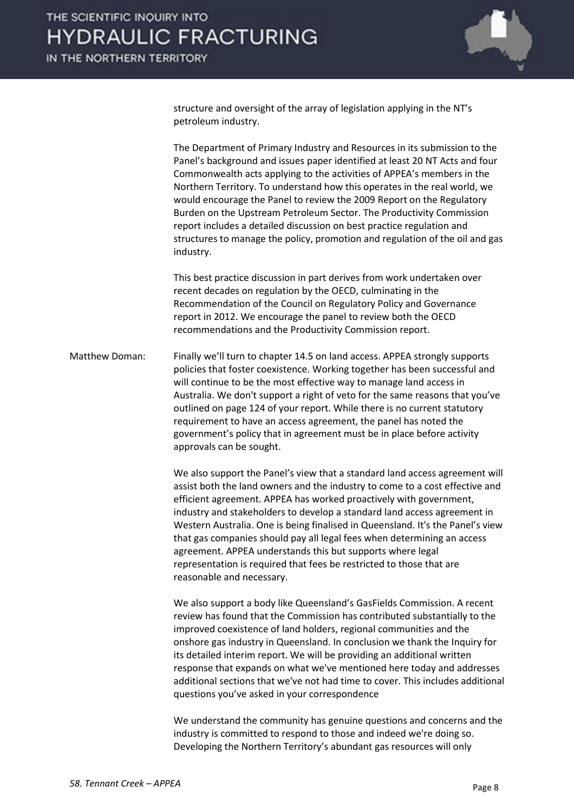

structure and oversight of the array of legislation applying in the NT's petroleum industry.

The Department of Primary Industry and Resources in its submission to the Panel's background and issues paper identified at least 20 NT Acts and four Commonwealth acts applying to the activities of APPEA's members in the Northern Territory. To understand how this operates in the real world, we would encourage the Panel to review the 2009 Report on the Regulatory Burden on the Upstream Petroleum Sector. The Productivity Commission report includes a detailed discussion on best practice regulation and structures to manage the policy, promotion and regulation of the oil and gas industry.

This best practice discussion in part derives from work undertaken over recent decades on regulation by the OECD, culminating in the Recommendation of the Council on Regulatory Policy and Governance report in 2012. We encourage the panel to review both the OECD recommendations and the Productivity Commission report.

Matthew Doman: Finally we'll turn to chapter 14.5 on land access. APPEA strongly supports policies that foster coexistence. Working together has been successful and will continue to be the most effective way to manage land access in Australia. We don't support a right of veto for the same reasons that you've outlined on page 124 of your report. While there is no current statutory requirement to have an access agreement, the panel has noted the government's policy that in agreement must be in place before activity approvals can be sought.

> We also support the Panel's view that a standard land access agreement will assist both the land owners and the industry to come to a cost effective and efficient agreement. APPEA has worked proactively with government, industry and stakeholders to develop a standard land access agreement in Western Australia. One is being finalised in Queensland. It's the Panel's view that gas companies should pay all legal fees when determining an access agreement. APPEA understands this but supports where legal representation is required that fees be restricted to those that are reasonable and necessary.

> We also support a body like Queensland's GasFields Commission. A recent review has found that the Commission has contributed substantially to the improved coexistence of land holders, regional communities and the onshore gas industry in Queensland. In conclusion we thank the Inquiry for its detailed interim report. We will be providing an additional written response that expands on what we've mentioned here today and addresses additional sections that we've not had time to cover. This includes additional questions you've asked in your correspondence

> We understand the community has genuine questions and concerns and the industry is committed to respond to those and indeed we're doing so. Developing the Northern Territory's abundant gas resources will only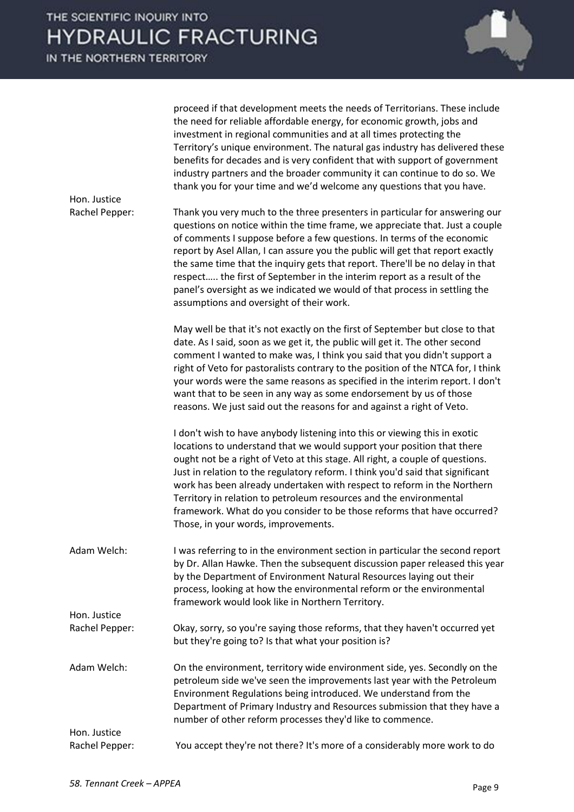| Hon. Justice                   | proceed if that development meets the needs of Territorians. These include<br>the need for reliable affordable energy, for economic growth, jobs and<br>investment in regional communities and at all times protecting the<br>Territory's unique environment. The natural gas industry has delivered these<br>benefits for decades and is very confident that with support of government<br>industry partners and the broader community it can continue to do so. We<br>thank you for your time and we'd welcome any questions that you have.                                                                 |
|--------------------------------|---------------------------------------------------------------------------------------------------------------------------------------------------------------------------------------------------------------------------------------------------------------------------------------------------------------------------------------------------------------------------------------------------------------------------------------------------------------------------------------------------------------------------------------------------------------------------------------------------------------|
| Rachel Pepper:                 | Thank you very much to the three presenters in particular for answering our<br>questions on notice within the time frame, we appreciate that. Just a couple<br>of comments I suppose before a few questions. In terms of the economic<br>report by Asel Allan, I can assure you the public will get that report exactly<br>the same time that the inquiry gets that report. There'll be no delay in that<br>respect the first of September in the interim report as a result of the<br>panel's oversight as we indicated we would of that process in settling the<br>assumptions and oversight of their work. |
|                                | May well be that it's not exactly on the first of September but close to that<br>date. As I said, soon as we get it, the public will get it. The other second<br>comment I wanted to make was, I think you said that you didn't support a<br>right of Veto for pastoralists contrary to the position of the NTCA for, I think<br>your words were the same reasons as specified in the interim report. I don't<br>want that to be seen in any way as some endorsement by us of those<br>reasons. We just said out the reasons for and against a right of Veto.                                                 |
|                                | I don't wish to have anybody listening into this or viewing this in exotic<br>locations to understand that we would support your position that there<br>ought not be a right of Veto at this stage. All right, a couple of questions.<br>Just in relation to the regulatory reform. I think you'd said that significant<br>work has been already undertaken with respect to reform in the Northern<br>Territory in relation to petroleum resources and the environmental<br>framework. What do you consider to be those reforms that have occurred?<br>Those, in your words, improvements.                    |
| Adam Welch:                    | I was referring to in the environment section in particular the second report<br>by Dr. Allan Hawke. Then the subsequent discussion paper released this year<br>by the Department of Environment Natural Resources laying out their<br>process, looking at how the environmental reform or the environmental<br>framework would look like in Northern Territory.                                                                                                                                                                                                                                              |
| Hon. Justice<br>Rachel Pepper: | Okay, sorry, so you're saying those reforms, that they haven't occurred yet<br>but they're going to? Is that what your position is?                                                                                                                                                                                                                                                                                                                                                                                                                                                                           |
| Adam Welch:                    | On the environment, territory wide environment side, yes. Secondly on the<br>petroleum side we've seen the improvements last year with the Petroleum<br>Environment Regulations being introduced. We understand from the<br>Department of Primary Industry and Resources submission that they have a<br>number of other reform processes they'd like to commence.                                                                                                                                                                                                                                             |
| Hon. Justice<br>Rachel Pepper: | You accept they're not there? It's more of a considerably more work to do                                                                                                                                                                                                                                                                                                                                                                                                                                                                                                                                     |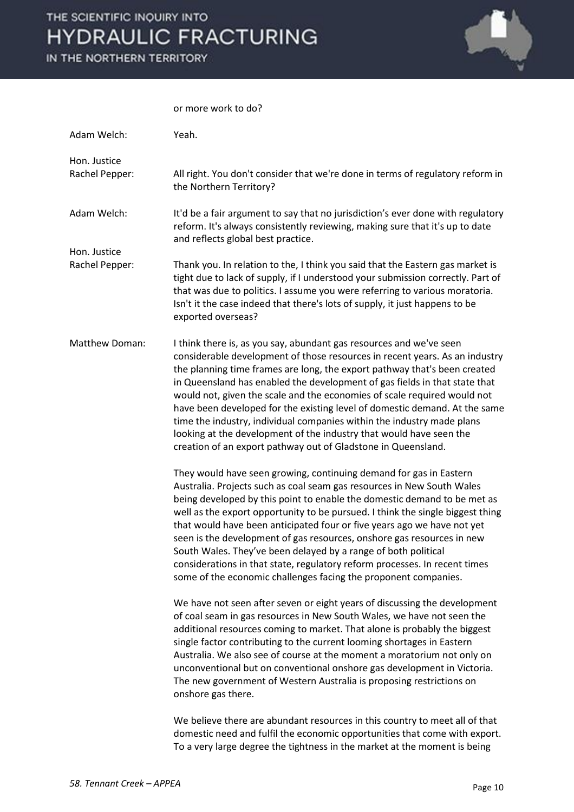IN THE NORTHERN TERRITORY



#### or more work to do?

| Adam Welch:                    | Yeah.                                                                                                                                                                                                                                                                                                                                                                                                                                                                                                                                                                                                                                                                                     |
|--------------------------------|-------------------------------------------------------------------------------------------------------------------------------------------------------------------------------------------------------------------------------------------------------------------------------------------------------------------------------------------------------------------------------------------------------------------------------------------------------------------------------------------------------------------------------------------------------------------------------------------------------------------------------------------------------------------------------------------|
| Hon. Justice<br>Rachel Pepper: | All right. You don't consider that we're done in terms of regulatory reform in<br>the Northern Territory?                                                                                                                                                                                                                                                                                                                                                                                                                                                                                                                                                                                 |
| Adam Welch:                    | It'd be a fair argument to say that no jurisdiction's ever done with regulatory<br>reform. It's always consistently reviewing, making sure that it's up to date<br>and reflects global best practice.                                                                                                                                                                                                                                                                                                                                                                                                                                                                                     |
| Hon. Justice<br>Rachel Pepper: | Thank you. In relation to the, I think you said that the Eastern gas market is<br>tight due to lack of supply, if I understood your submission correctly. Part of<br>that was due to politics. I assume you were referring to various moratoria.<br>Isn't it the case indeed that there's lots of supply, it just happens to be<br>exported overseas?                                                                                                                                                                                                                                                                                                                                     |
| Matthew Doman:                 | I think there is, as you say, abundant gas resources and we've seen<br>considerable development of those resources in recent years. As an industry<br>the planning time frames are long, the export pathway that's been created<br>in Queensland has enabled the development of gas fields in that state that<br>would not, given the scale and the economies of scale required would not<br>have been developed for the existing level of domestic demand. At the same<br>time the industry, individual companies within the industry made plans<br>looking at the development of the industry that would have seen the<br>creation of an export pathway out of Gladstone in Queensland. |
|                                | They would have seen growing, continuing demand for gas in Eastern<br>Australia. Projects such as coal seam gas resources in New South Wales<br>being developed by this point to enable the domestic demand to be met as<br>well as the export opportunity to be pursued. I think the single biggest thing<br>that would have been anticipated four or five years ago we have not yet<br>seen is the development of gas resources, onshore gas resources in new<br>South Wales. They've been delayed by a range of both political<br>considerations in that state, regulatory reform processes. In recent times<br>some of the economic challenges facing the proponent companies.        |
|                                | We have not seen after seven or eight years of discussing the development<br>of coal seam in gas resources in New South Wales, we have not seen the<br>additional resources coming to market. That alone is probably the biggest<br>single factor contributing to the current looming shortages in Eastern<br>Australia. We also see of course at the moment a moratorium not only on<br>unconventional but on conventional onshore gas development in Victoria.<br>The new government of Western Australia is proposing restrictions on<br>onshore gas there.                                                                                                                            |
|                                | We believe there are abundant resources in this country to meet all of that<br>domestic need and fulfil the economic opportunities that come with export.<br>To a very large degree the tightness in the market at the moment is being                                                                                                                                                                                                                                                                                                                                                                                                                                                    |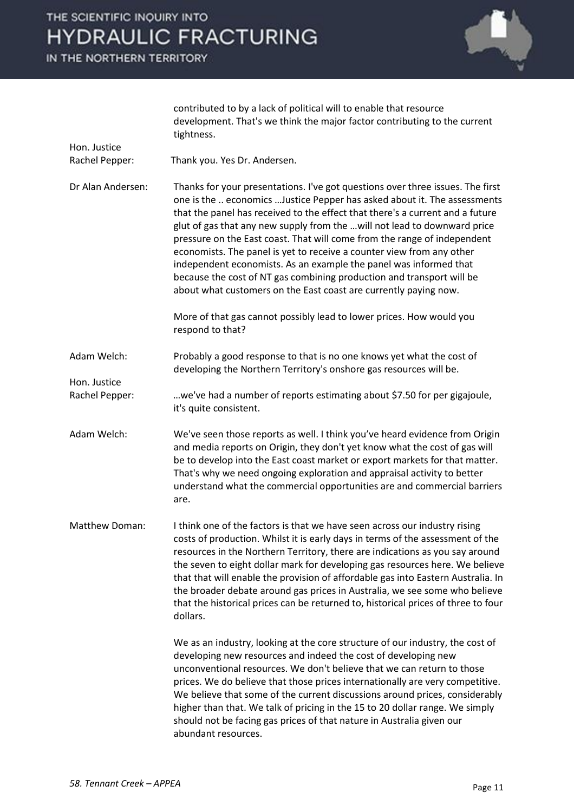

|                                | contributed to by a lack of political will to enable that resource<br>development. That's we think the major factor contributing to the current<br>tightness.                                                                                                                                                                                                                                                                                                                                                                                                                                                                                                                                   |
|--------------------------------|-------------------------------------------------------------------------------------------------------------------------------------------------------------------------------------------------------------------------------------------------------------------------------------------------------------------------------------------------------------------------------------------------------------------------------------------------------------------------------------------------------------------------------------------------------------------------------------------------------------------------------------------------------------------------------------------------|
| Hon. Justice                   |                                                                                                                                                                                                                                                                                                                                                                                                                                                                                                                                                                                                                                                                                                 |
| Rachel Pepper:                 | Thank you. Yes Dr. Andersen.                                                                                                                                                                                                                                                                                                                                                                                                                                                                                                                                                                                                                                                                    |
| Dr Alan Andersen:              | Thanks for your presentations. I've got questions over three issues. The first<br>one is the  economics  Justice Pepper has asked about it. The assessments<br>that the panel has received to the effect that there's a current and a future<br>glut of gas that any new supply from the will not lead to downward price<br>pressure on the East coast. That will come from the range of independent<br>economists. The panel is yet to receive a counter view from any other<br>independent economists. As an example the panel was informed that<br>because the cost of NT gas combining production and transport will be<br>about what customers on the East coast are currently paying now. |
|                                | More of that gas cannot possibly lead to lower prices. How would you<br>respond to that?                                                                                                                                                                                                                                                                                                                                                                                                                                                                                                                                                                                                        |
| Adam Welch:                    | Probably a good response to that is no one knows yet what the cost of<br>developing the Northern Territory's onshore gas resources will be.                                                                                                                                                                                                                                                                                                                                                                                                                                                                                                                                                     |
| Hon. Justice<br>Rachel Pepper: | we've had a number of reports estimating about \$7.50 for per gigajoule,<br>it's quite consistent.                                                                                                                                                                                                                                                                                                                                                                                                                                                                                                                                                                                              |
| Adam Welch:                    | We've seen those reports as well. I think you've heard evidence from Origin<br>and media reports on Origin, they don't yet know what the cost of gas will<br>be to develop into the East coast market or export markets for that matter.<br>That's why we need ongoing exploration and appraisal activity to better<br>understand what the commercial opportunities are and commercial barriers<br>are.                                                                                                                                                                                                                                                                                         |
| <b>Matthew Doman:</b>          | I think one of the factors is that we have seen across our industry rising<br>costs of production. Whilst it is early days in terms of the assessment of the<br>resources in the Northern Territory, there are indications as you say around<br>the seven to eight dollar mark for developing gas resources here. We believe<br>that that will enable the provision of affordable gas into Eastern Australia. In<br>the broader debate around gas prices in Australia, we see some who believe<br>that the historical prices can be returned to, historical prices of three to four<br>dollars.                                                                                                 |
|                                | We as an industry, looking at the core structure of our industry, the cost of<br>developing new resources and indeed the cost of developing new<br>unconventional resources. We don't believe that we can return to those<br>prices. We do believe that those prices internationally are very competitive.<br>We believe that some of the current discussions around prices, considerably<br>higher than that. We talk of pricing in the 15 to 20 dollar range. We simply<br>should not be facing gas prices of that nature in Australia given our<br>abundant resources.                                                                                                                       |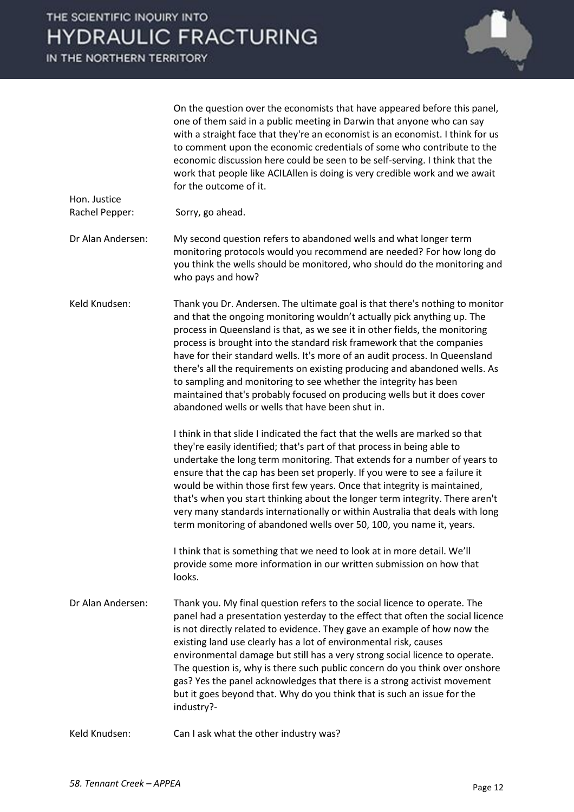IN THE NORTHERN TERRITORY

Hon. Justice



On the question over the economists that have appeared before this panel, one of them said in a public meeting in Darwin that anyone who can say with a straight face that they're an economist is an economist. I think for us to comment upon the economic credentials of some who contribute to the economic discussion here could be seen to be self-serving. I think that the work that people like ACILAllen is doing is very credible work and we await for the outcome of it.

- Rachel Pepper: Sorry, go ahead.
- Dr Alan Andersen: My second question refers to abandoned wells and what longer term monitoring protocols would you recommend are needed? For how long do you think the wells should be monitored, who should do the monitoring and who pays and how?
- Keld Knudsen: Thank you Dr. Andersen. The ultimate goal is that there's nothing to monitor and that the ongoing monitoring wouldn't actually pick anything up. The process in Queensland is that, as we see it in other fields, the monitoring process is brought into the standard risk framework that the companies have for their standard wells. It's more of an audit process. In Queensland there's all the requirements on existing producing and abandoned wells. As to sampling and monitoring to see whether the integrity has been maintained that's probably focused on producing wells but it does cover abandoned wells or wells that have been shut in.

I think in that slide I indicated the fact that the wells are marked so that they're easily identified; that's part of that process in being able to undertake the long term monitoring. That extends for a number of years to ensure that the cap has been set properly. If you were to see a failure it would be within those first few years. Once that integrity is maintained, that's when you start thinking about the longer term integrity. There aren't very many standards internationally or within Australia that deals with long term monitoring of abandoned wells over 50, 100, you name it, years.

I think that is something that we need to look at in more detail. We'll provide some more information in our written submission on how that looks.

Dr Alan Andersen: Thank you. My final question refers to the social licence to operate. The panel had a presentation yesterday to the effect that often the social licence is not directly related to evidence. They gave an example of how now the existing land use clearly has a lot of environmental risk, causes environmental damage but still has a very strong social licence to operate. The question is, why is there such public concern do you think over onshore gas? Yes the panel acknowledges that there is a strong activist movement but it goes beyond that. Why do you think that is such an issue for the industry?-

Keld Knudsen: Can I ask what the other industry was?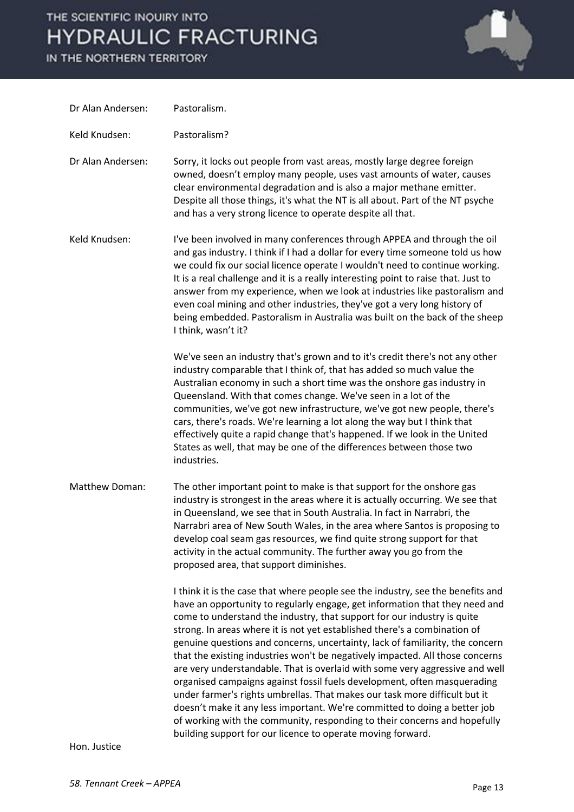IN THE NORTHERN TERRITORY



| Dr Alan Andersen:     | Pastoralism.                                                                                                                                                                                                                                                                                                                                                                                                                                                                                                                                                                                                                                                                                                                                                                                                                                                                                                                                                |
|-----------------------|-------------------------------------------------------------------------------------------------------------------------------------------------------------------------------------------------------------------------------------------------------------------------------------------------------------------------------------------------------------------------------------------------------------------------------------------------------------------------------------------------------------------------------------------------------------------------------------------------------------------------------------------------------------------------------------------------------------------------------------------------------------------------------------------------------------------------------------------------------------------------------------------------------------------------------------------------------------|
| Keld Knudsen:         | Pastoralism?                                                                                                                                                                                                                                                                                                                                                                                                                                                                                                                                                                                                                                                                                                                                                                                                                                                                                                                                                |
| Dr Alan Andersen:     | Sorry, it locks out people from vast areas, mostly large degree foreign<br>owned, doesn't employ many people, uses vast amounts of water, causes<br>clear environmental degradation and is also a major methane emitter.<br>Despite all those things, it's what the NT is all about. Part of the NT psyche<br>and has a very strong licence to operate despite all that.                                                                                                                                                                                                                                                                                                                                                                                                                                                                                                                                                                                    |
| Keld Knudsen:         | I've been involved in many conferences through APPEA and through the oil<br>and gas industry. I think if I had a dollar for every time someone told us how<br>we could fix our social licence operate I wouldn't need to continue working.<br>It is a real challenge and it is a really interesting point to raise that. Just to<br>answer from my experience, when we look at industries like pastoralism and<br>even coal mining and other industries, they've got a very long history of<br>being embedded. Pastoralism in Australia was built on the back of the sheep<br>I think, wasn't it?                                                                                                                                                                                                                                                                                                                                                           |
|                       | We've seen an industry that's grown and to it's credit there's not any other<br>industry comparable that I think of, that has added so much value the<br>Australian economy in such a short time was the onshore gas industry in<br>Queensland. With that comes change. We've seen in a lot of the<br>communities, we've got new infrastructure, we've got new people, there's<br>cars, there's roads. We're learning a lot along the way but I think that<br>effectively quite a rapid change that's happened. If we look in the United<br>States as well, that may be one of the differences between those two<br>industries.                                                                                                                                                                                                                                                                                                                             |
| <b>Matthew Doman:</b> | The other important point to make is that support for the onshore gas<br>industry is strongest in the areas where it is actually occurring. We see that<br>in Queensland, we see that in South Australia. In fact in Narrabri, the<br>Narrabri area of New South Wales, in the area where Santos is proposing to<br>develop coal seam gas resources, we find quite strong support for that<br>activity in the actual community. The further away you go from the<br>proposed area, that support diminishes.                                                                                                                                                                                                                                                                                                                                                                                                                                                 |
|                       | I think it is the case that where people see the industry, see the benefits and<br>have an opportunity to regularly engage, get information that they need and<br>come to understand the industry, that support for our industry is quite<br>strong. In areas where it is not yet established there's a combination of<br>genuine questions and concerns, uncertainty, lack of familiarity, the concern<br>that the existing industries won't be negatively impacted. All those concerns<br>are very understandable. That is overlaid with some very aggressive and well<br>organised campaigns against fossil fuels development, often masquerading<br>under farmer's rights umbrellas. That makes our task more difficult but it<br>doesn't make it any less important. We're committed to doing a better job<br>of working with the community, responding to their concerns and hopefully<br>building support for our licence to operate moving forward. |

Hon. Justice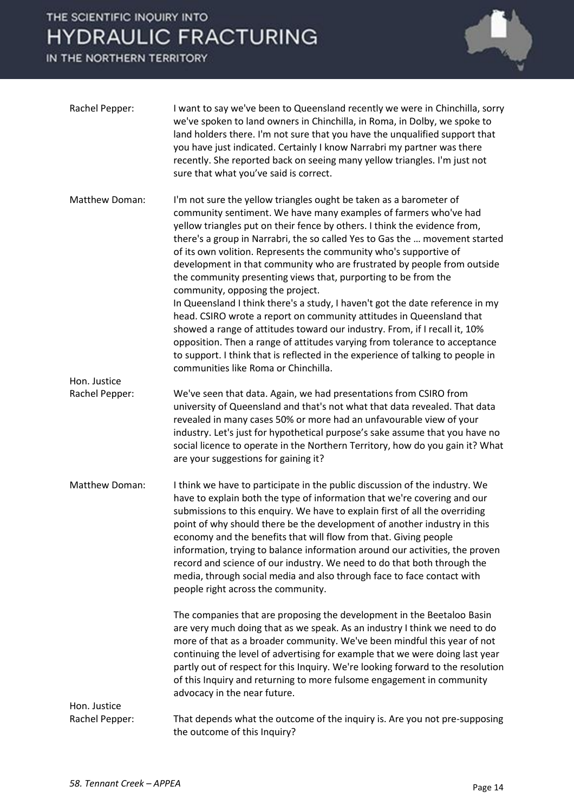

| Rachel Pepper:                 | I want to say we've been to Queensland recently we were in Chinchilla, sorry<br>we've spoken to land owners in Chinchilla, in Roma, in Dolby, we spoke to<br>land holders there. I'm not sure that you have the unqualified support that<br>you have just indicated. Certainly I know Narrabri my partner was there<br>recently. She reported back on seeing many yellow triangles. I'm just not<br>sure that what you've said is correct.                                                                                                                                                                                                                        |
|--------------------------------|-------------------------------------------------------------------------------------------------------------------------------------------------------------------------------------------------------------------------------------------------------------------------------------------------------------------------------------------------------------------------------------------------------------------------------------------------------------------------------------------------------------------------------------------------------------------------------------------------------------------------------------------------------------------|
| Matthew Doman:                 | I'm not sure the yellow triangles ought be taken as a barometer of<br>community sentiment. We have many examples of farmers who've had<br>yellow triangles put on their fence by others. I think the evidence from,<br>there's a group in Narrabri, the so called Yes to Gas the  movement started<br>of its own volition. Represents the community who's supportive of<br>development in that community who are frustrated by people from outside<br>the community presenting views that, purporting to be from the<br>community, opposing the project.                                                                                                          |
|                                | In Queensland I think there's a study, I haven't got the date reference in my<br>head. CSIRO wrote a report on community attitudes in Queensland that<br>showed a range of attitudes toward our industry. From, if I recall it, 10%<br>opposition. Then a range of attitudes varying from tolerance to acceptance<br>to support. I think that is reflected in the experience of talking to people in<br>communities like Roma or Chinchilla.                                                                                                                                                                                                                      |
| Hon. Justice<br>Rachel Pepper: | We've seen that data. Again, we had presentations from CSIRO from<br>university of Queensland and that's not what that data revealed. That data<br>revealed in many cases 50% or more had an unfavourable view of your<br>industry. Let's just for hypothetical purpose's sake assume that you have no<br>social licence to operate in the Northern Territory, how do you gain it? What<br>are your suggestions for gaining it?                                                                                                                                                                                                                                   |
| Matthew Doman:                 | I think we have to participate in the public discussion of the industry. We<br>have to explain both the type of information that we're covering and our<br>submissions to this enquiry. We have to explain first of all the overriding<br>point of why should there be the development of another industry in this<br>economy and the benefits that will flow from that. Giving people<br>information, trying to balance information around our activities, the proven<br>record and science of our industry. We need to do that both through the<br>media, through social media and also through face to face contact with<br>people right across the community. |
|                                | The companies that are proposing the development in the Beetaloo Basin<br>are very much doing that as we speak. As an industry I think we need to do<br>more of that as a broader community. We've been mindful this year of not<br>continuing the level of advertising for example that we were doing last year<br>partly out of respect for this Inquiry. We're looking forward to the resolution<br>of this Inquiry and returning to more fulsome engagement in community<br>advocacy in the near future.                                                                                                                                                      |
| Hon. Justice<br>Rachel Pepper: | That depends what the outcome of the inquiry is. Are you not pre-supposing                                                                                                                                                                                                                                                                                                                                                                                                                                                                                                                                                                                        |
|                                | the outcome of this Inquiry?                                                                                                                                                                                                                                                                                                                                                                                                                                                                                                                                                                                                                                      |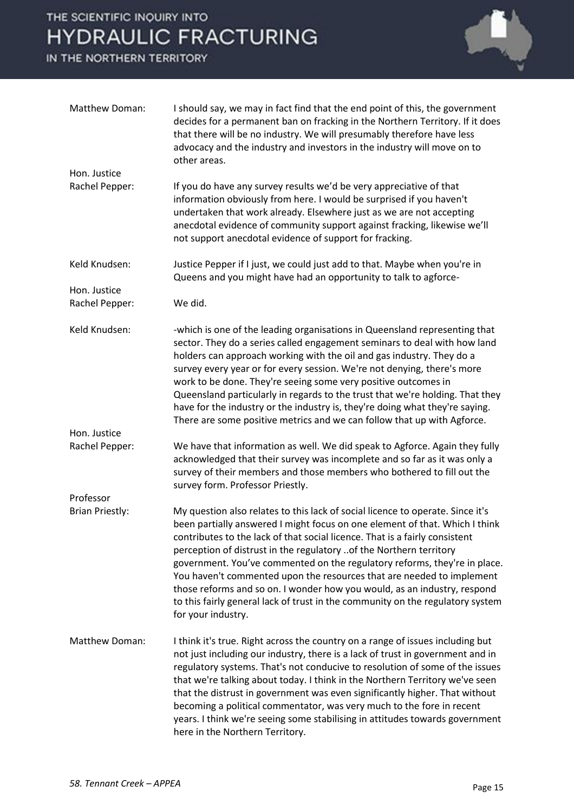

| Matthew Doman:                 | I should say, we may in fact find that the end point of this, the government<br>decides for a permanent ban on fracking in the Northern Territory. If it does<br>that there will be no industry. We will presumably therefore have less<br>advocacy and the industry and investors in the industry will move on to<br>other areas.                                                                                                                                                                                                                                                                                                                           |
|--------------------------------|--------------------------------------------------------------------------------------------------------------------------------------------------------------------------------------------------------------------------------------------------------------------------------------------------------------------------------------------------------------------------------------------------------------------------------------------------------------------------------------------------------------------------------------------------------------------------------------------------------------------------------------------------------------|
| Hon. Justice                   |                                                                                                                                                                                                                                                                                                                                                                                                                                                                                                                                                                                                                                                              |
| Rachel Pepper:                 | If you do have any survey results we'd be very appreciative of that<br>information obviously from here. I would be surprised if you haven't<br>undertaken that work already. Elsewhere just as we are not accepting<br>anecdotal evidence of community support against fracking, likewise we'll<br>not support anecdotal evidence of support for fracking.                                                                                                                                                                                                                                                                                                   |
| Keld Knudsen:                  | Justice Pepper if I just, we could just add to that. Maybe when you're in<br>Queens and you might have had an opportunity to talk to agforce-                                                                                                                                                                                                                                                                                                                                                                                                                                                                                                                |
| Hon. Justice                   |                                                                                                                                                                                                                                                                                                                                                                                                                                                                                                                                                                                                                                                              |
| Rachel Pepper:                 | We did.                                                                                                                                                                                                                                                                                                                                                                                                                                                                                                                                                                                                                                                      |
| Keld Knudsen:                  | -which is one of the leading organisations in Queensland representing that<br>sector. They do a series called engagement seminars to deal with how land<br>holders can approach working with the oil and gas industry. They do a                                                                                                                                                                                                                                                                                                                                                                                                                             |
|                                | survey every year or for every session. We're not denying, there's more<br>work to be done. They're seeing some very positive outcomes in<br>Queensland particularly in regards to the trust that we're holding. That they<br>have for the industry or the industry is, they're doing what they're saying.<br>There are some positive metrics and we can follow that up with Agforce.                                                                                                                                                                                                                                                                        |
| Hon. Justice<br>Rachel Pepper: | We have that information as well. We did speak to Agforce. Again they fully<br>acknowledged that their survey was incomplete and so far as it was only a<br>survey of their members and those members who bothered to fill out the<br>survey form. Professor Priestly.                                                                                                                                                                                                                                                                                                                                                                                       |
| Professor                      |                                                                                                                                                                                                                                                                                                                                                                                                                                                                                                                                                                                                                                                              |
| <b>Brian Priestly:</b>         | My question also relates to this lack of social licence to operate. Since it's<br>been partially answered I might focus on one element of that. Which I think<br>contributes to the lack of that social licence. That is a fairly consistent<br>perception of distrust in the regulatory of the Northern territory<br>government. You've commented on the regulatory reforms, they're in place.<br>You haven't commented upon the resources that are needed to implement<br>those reforms and so on. I wonder how you would, as an industry, respond<br>to this fairly general lack of trust in the community on the regulatory system<br>for your industry. |
| Matthew Doman:                 | I think it's true. Right across the country on a range of issues including but<br>not just including our industry, there is a lack of trust in government and in<br>regulatory systems. That's not conducive to resolution of some of the issues<br>that we're talking about today. I think in the Northern Territory we've seen<br>that the distrust in government was even significantly higher. That without<br>becoming a political commentator, was very much to the fore in recent<br>years. I think we're seeing some stabilising in attitudes towards government<br>here in the Northern Territory.                                                  |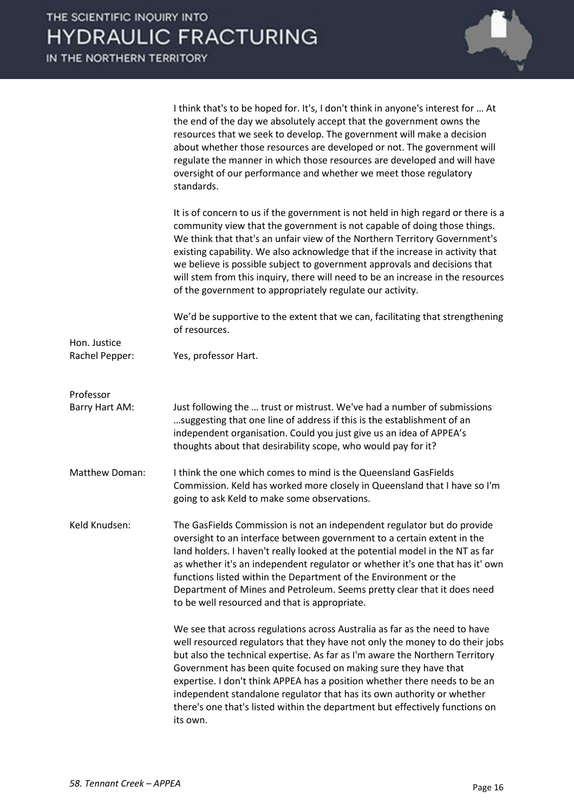

|                | I think that's to be hoped for. It's, I don't think in anyone's interest for  At<br>the end of the day we absolutely accept that the government owns the<br>resources that we seek to develop. The government will make a decision<br>about whether those resources are developed or not. The government will<br>regulate the manner in which those resources are developed and will have<br>oversight of our performance and whether we meet those regulatory<br>standards.                                                                                      |
|----------------|-------------------------------------------------------------------------------------------------------------------------------------------------------------------------------------------------------------------------------------------------------------------------------------------------------------------------------------------------------------------------------------------------------------------------------------------------------------------------------------------------------------------------------------------------------------------|
|                | It is of concern to us if the government is not held in high regard or there is a<br>community view that the government is not capable of doing those things.<br>We think that that's an unfair view of the Northern Territory Government's<br>existing capability. We also acknowledge that if the increase in activity that<br>we believe is possible subject to government approvals and decisions that<br>will stem from this inquiry, there will need to be an increase in the resources<br>of the government to appropriately regulate our activity.        |
| Hon. Justice   | We'd be supportive to the extent that we can, facilitating that strengthening<br>of resources.                                                                                                                                                                                                                                                                                                                                                                                                                                                                    |
| Rachel Pepper: | Yes, professor Hart.                                                                                                                                                                                                                                                                                                                                                                                                                                                                                                                                              |
| Professor      |                                                                                                                                                                                                                                                                                                                                                                                                                                                                                                                                                                   |
| Barry Hart AM: | Just following the  trust or mistrust. We've had a number of submissions<br>suggesting that one line of address if this is the establishment of an<br>independent organisation. Could you just give us an idea of APPEA's<br>thoughts about that desirability scope, who would pay for it?                                                                                                                                                                                                                                                                        |
| Matthew Doman: | I think the one which comes to mind is the Queensland GasFields<br>Commission. Keld has worked more closely in Queensland that I have so I'm<br>going to ask Keld to make some observations.                                                                                                                                                                                                                                                                                                                                                                      |
| Keld Knudsen:  | The GasFields Commission is not an independent regulator but do provide<br>oversight to an interface between government to a certain extent in the<br>land holders. I haven't really looked at the potential model in the NT as far<br>as whether it's an independent regulator or whether it's one that has it' own<br>functions listed within the Department of the Environment or the<br>Department of Mines and Petroleum. Seems pretty clear that it does need<br>to be well resourced and that is appropriate.                                              |
|                | We see that across regulations across Australia as far as the need to have<br>well resourced regulators that they have not only the money to do their jobs<br>but also the technical expertise. As far as I'm aware the Northern Territory<br>Government has been quite focused on making sure they have that<br>expertise. I don't think APPEA has a position whether there needs to be an<br>independent standalone regulator that has its own authority or whether<br>there's one that's listed within the department but effectively functions on<br>its own. |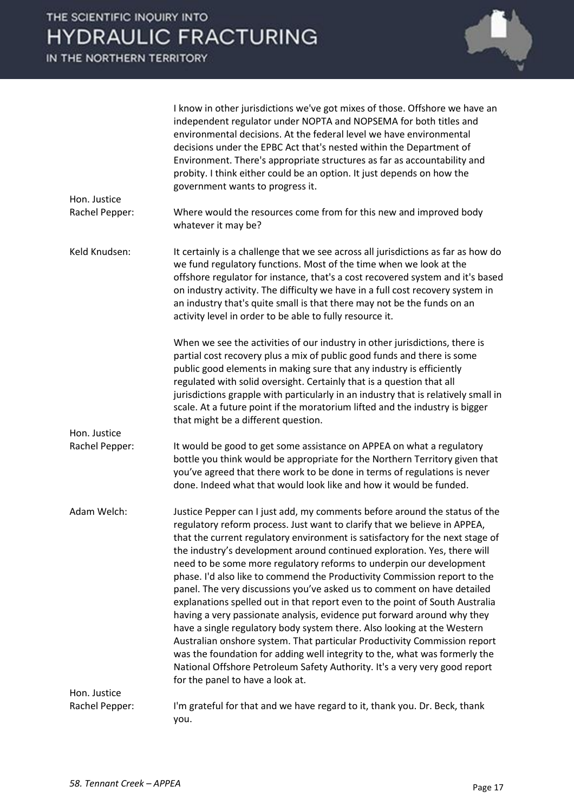|                                | I know in other jurisdictions we've got mixes of those. Offshore we have an<br>independent regulator under NOPTA and NOPSEMA for both titles and<br>environmental decisions. At the federal level we have environmental<br>decisions under the EPBC Act that's nested within the Department of<br>Environment. There's appropriate structures as far as accountability and<br>probity. I think either could be an option. It just depends on how the<br>government wants to progress it.                                                                                                                                                                                                                                                                                                                                                                                                                                                                                                                                                                               |
|--------------------------------|------------------------------------------------------------------------------------------------------------------------------------------------------------------------------------------------------------------------------------------------------------------------------------------------------------------------------------------------------------------------------------------------------------------------------------------------------------------------------------------------------------------------------------------------------------------------------------------------------------------------------------------------------------------------------------------------------------------------------------------------------------------------------------------------------------------------------------------------------------------------------------------------------------------------------------------------------------------------------------------------------------------------------------------------------------------------|
| Hon. Justice<br>Rachel Pepper: | Where would the resources come from for this new and improved body                                                                                                                                                                                                                                                                                                                                                                                                                                                                                                                                                                                                                                                                                                                                                                                                                                                                                                                                                                                                     |
|                                | whatever it may be?                                                                                                                                                                                                                                                                                                                                                                                                                                                                                                                                                                                                                                                                                                                                                                                                                                                                                                                                                                                                                                                    |
| Keld Knudsen:                  | It certainly is a challenge that we see across all jurisdictions as far as how do<br>we fund regulatory functions. Most of the time when we look at the<br>offshore regulator for instance, that's a cost recovered system and it's based<br>on industry activity. The difficulty we have in a full cost recovery system in<br>an industry that's quite small is that there may not be the funds on an<br>activity level in order to be able to fully resource it.                                                                                                                                                                                                                                                                                                                                                                                                                                                                                                                                                                                                     |
|                                | When we see the activities of our industry in other jurisdictions, there is<br>partial cost recovery plus a mix of public good funds and there is some<br>public good elements in making sure that any industry is efficiently<br>regulated with solid oversight. Certainly that is a question that all<br>jurisdictions grapple with particularly in an industry that is relatively small in<br>scale. At a future point if the moratorium lifted and the industry is bigger<br>that might be a different question.                                                                                                                                                                                                                                                                                                                                                                                                                                                                                                                                                   |
| Hon. Justice                   |                                                                                                                                                                                                                                                                                                                                                                                                                                                                                                                                                                                                                                                                                                                                                                                                                                                                                                                                                                                                                                                                        |
| Rachel Pepper:                 | It would be good to get some assistance on APPEA on what a regulatory<br>bottle you think would be appropriate for the Northern Territory given that<br>you've agreed that there work to be done in terms of regulations is never<br>done. Indeed what that would look like and how it would be funded.                                                                                                                                                                                                                                                                                                                                                                                                                                                                                                                                                                                                                                                                                                                                                                |
| Adam Welch:                    | Justice Pepper can I just add, my comments before around the status of the<br>regulatory reform process. Just want to clarify that we believe in APPEA,<br>that the current regulatory environment is satisfactory for the next stage of<br>the industry's development around continued exploration. Yes, there will<br>need to be some more regulatory reforms to underpin our development<br>phase. I'd also like to commend the Productivity Commission report to the<br>panel. The very discussions you've asked us to comment on have detailed<br>explanations spelled out in that report even to the point of South Australia<br>having a very passionate analysis, evidence put forward around why they<br>have a single regulatory body system there. Also looking at the Western<br>Australian onshore system. That particular Productivity Commission report<br>was the foundation for adding well integrity to the, what was formerly the<br>National Offshore Petroleum Safety Authority. It's a very very good report<br>for the panel to have a look at. |
| Hon. Justice                   |                                                                                                                                                                                                                                                                                                                                                                                                                                                                                                                                                                                                                                                                                                                                                                                                                                                                                                                                                                                                                                                                        |
| Rachel Pepper:                 | I'm grateful for that and we have regard to it, thank you. Dr. Beck, thank<br>you.                                                                                                                                                                                                                                                                                                                                                                                                                                                                                                                                                                                                                                                                                                                                                                                                                                                                                                                                                                                     |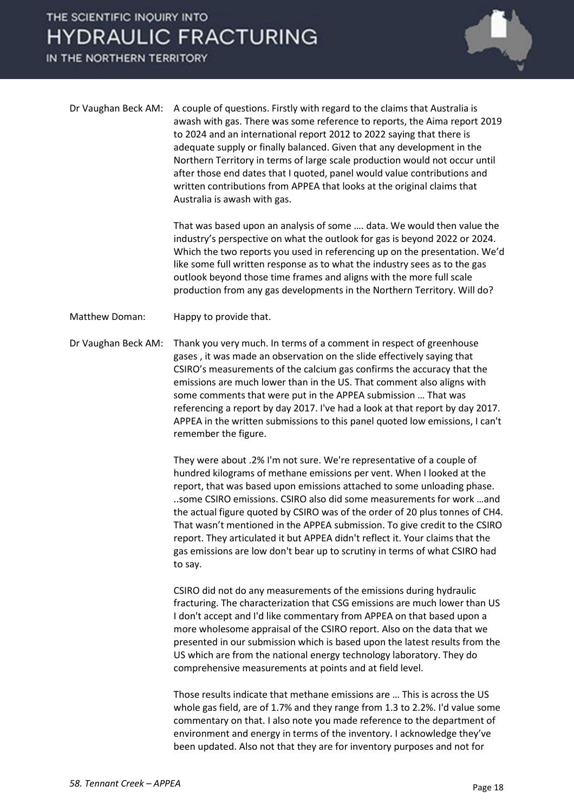IN THE NORTHERN TERRITORY



Dr Vaughan Beck AM: A couple of questions. Firstly with regard to the claims that Australia is awash with gas. There was some reference to reports, the Aima report 2019 to 2024 and an international report 2012 to 2022 saying that there is adequate supply or finally balanced. Given that any development in the Northern Territory in terms of large scale production would not occur until after those end dates that I quoted, panel would value contributions and written contributions from APPEA that looks at the original claims that Australia is awash with gas.

> That was based upon an analysis of some …. data. We would then value the industry's perspective on what the outlook for gas is beyond 2022 or 2024. Which the two reports you used in referencing up on the presentation. We'd like some full written response as to what the industry sees as to the gas outlook beyond those time frames and aligns with the more full scale production from any gas developments in the Northern Territory. Will do?

- Matthew Doman: Happy to provide that.
- Dr Vaughan Beck AM: Thank you very much. In terms of a comment in respect of greenhouse gases , it was made an observation on the slide effectively saying that CSIRO's measurements of the calcium gas confirms the accuracy that the emissions are much lower than in the US. That comment also aligns with some comments that were put in the APPEA submission … That was referencing a report by day 2017. I've had a look at that report by day 2017. APPEA in the written submissions to this panel quoted low emissions, I can't remember the figure.

They were about .2% I'm not sure. We're representative of a couple of hundred kilograms of methane emissions per vent. When I looked at the report, that was based upon emissions attached to some unloading phase. ..some CSIRO emissions. CSIRO also did some measurements for work …and the actual figure quoted by CSIRO was of the order of 20 plus tonnes of CH4. That wasn't mentioned in the APPEA submission. To give credit to the CSIRO report. They articulated it but APPEA didn't reflect it. Your claims that the gas emissions are low don't bear up to scrutiny in terms of what CSIRO had to say.

CSIRO did not do any measurements of the emissions during hydraulic fracturing. The characterization that CSG emissions are much lower than US I don't accept and I'd like commentary from APPEA on that based upon a more wholesome appraisal of the CSIRO report. Also on the data that we presented in our submission which is based upon the latest results from the US which are from the national energy technology laboratory. They do comprehensive measurements at points and at field level.

Those results indicate that methane emissions are … This is across the US whole gas field, are of 1.7% and they range from 1.3 to 2.2%. I'd value some commentary on that. I also note you made reference to the department of environment and energy in terms of the inventory. I acknowledge they've been updated. Also not that they are for inventory purposes and not for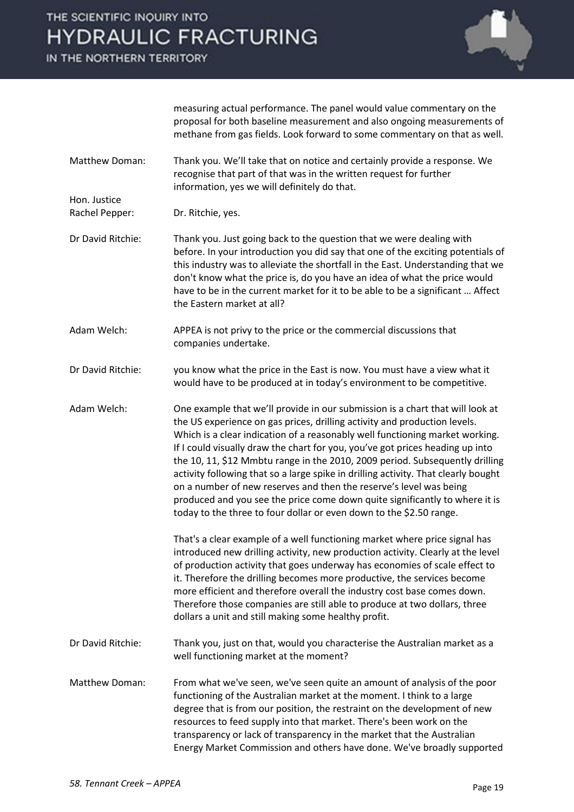IN THE NORTHERN TERRITORY

Hon. Justice



measuring actual performance. The panel would value commentary on the proposal for both baseline measurement and also ongoing measurements of methane from gas fields. Look forward to some commentary on that as well.

Matthew Doman: Thank you. We'll take that on notice and certainly provide a response. We recognise that part of that was in the written request for further information, yes we will definitely do that.

Rachel Pepper: Dr. Ritchie, yes.

- Dr David Ritchie: Thank you. Just going back to the question that we were dealing with before. In your introduction you did say that one of the exciting potentials of this industry was to alleviate the shortfall in the East. Understanding that we don't know what the price is, do you have an idea of what the price would have to be in the current market for it to be able to be a significant … Affect the Eastern market at all?
- Adam Welch: APPEA is not privy to the price or the commercial discussions that companies undertake.
- Dr David Ritchie: you know what the price in the East is now. You must have a view what it would have to be produced at in today's environment to be competitive.
- Adam Welch: One example that we'll provide in our submission is a chart that will look at the US experience on gas prices, drilling activity and production levels. Which is a clear indication of a reasonably well functioning market working. If I could visually draw the chart for you, you've got prices heading up into the 10, 11, \$12 Mmbtu range in the 2010, 2009 period. Subsequently drilling activity following that so a large spike in drilling activity. That clearly bought on a number of new reserves and then the reserve's level was being produced and you see the price come down quite significantly to where it is today to the three to four dollar or even down to the \$2.50 range.

That's a clear example of a well functioning market where price signal has introduced new drilling activity, new production activity. Clearly at the level of production activity that goes underway has economies of scale effect to it. Therefore the drilling becomes more productive, the services become more efficient and therefore overall the industry cost base comes down. Therefore those companies are still able to produce at two dollars, three dollars a unit and still making some healthy profit.

- Dr David Ritchie: Thank you, just on that, would you characterise the Australian market as a well functioning market at the moment?
- Matthew Doman: From what we've seen, we've seen quite an amount of analysis of the poor functioning of the Australian market at the moment. I think to a large degree that is from our position, the restraint on the development of new resources to feed supply into that market. There's been work on the transparency or lack of transparency in the market that the Australian Energy Market Commission and others have done. We've broadly supported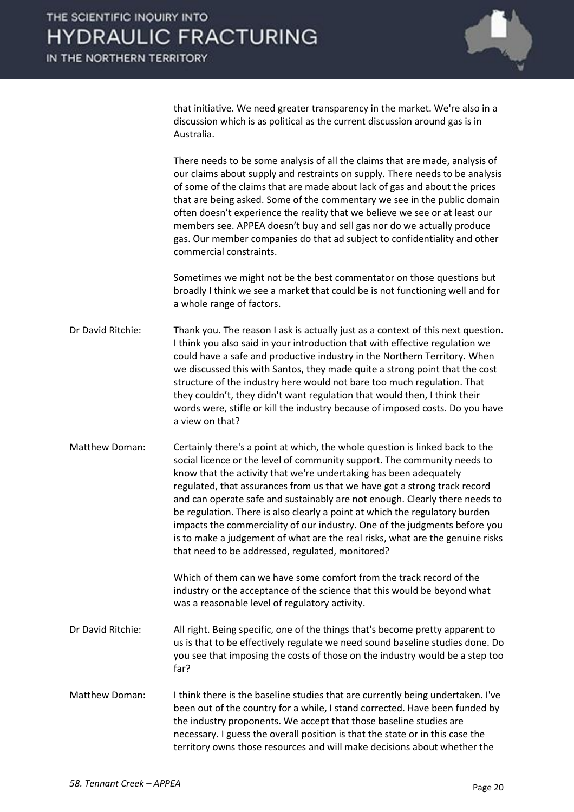

that initiative. We need greater transparency in the market. We're also in a discussion which is as political as the current discussion around gas is in Australia.

There needs to be some analysis of all the claims that are made, analysis of our claims about supply and restraints on supply. There needs to be analysis of some of the claims that are made about lack of gas and about the prices that are being asked. Some of the commentary we see in the public domain often doesn't experience the reality that we believe we see or at least our members see. APPEA doesn't buy and sell gas nor do we actually produce gas. Our member companies do that ad subject to confidentiality and other commercial constraints.

Sometimes we might not be the best commentator on those questions but broadly I think we see a market that could be is not functioning well and for a whole range of factors.

Dr David Ritchie: Thank you. The reason I ask is actually just as a context of this next question. I think you also said in your introduction that with effective regulation we could have a safe and productive industry in the Northern Territory. When we discussed this with Santos, they made quite a strong point that the cost structure of the industry here would not bare too much regulation. That they couldn't, they didn't want regulation that would then, I think their words were, stifle or kill the industry because of imposed costs. Do you have a view on that?

Matthew Doman: Certainly there's a point at which, the whole question is linked back to the social licence or the level of community support. The community needs to know that the activity that we're undertaking has been adequately regulated, that assurances from us that we have got a strong track record and can operate safe and sustainably are not enough. Clearly there needs to be regulation. There is also clearly a point at which the regulatory burden impacts the commerciality of our industry. One of the judgments before you is to make a judgement of what are the real risks, what are the genuine risks that need to be addressed, regulated, monitored?

> Which of them can we have some comfort from the track record of the industry or the acceptance of the science that this would be beyond what was a reasonable level of regulatory activity.

- Dr David Ritchie: All right. Being specific, one of the things that's become pretty apparent to us is that to be effectively regulate we need sound baseline studies done. Do you see that imposing the costs of those on the industry would be a step too far?
- Matthew Doman: I think there is the baseline studies that are currently being undertaken. I've been out of the country for a while, I stand corrected. Have been funded by the industry proponents. We accept that those baseline studies are necessary. I guess the overall position is that the state or in this case the territory owns those resources and will make decisions about whether the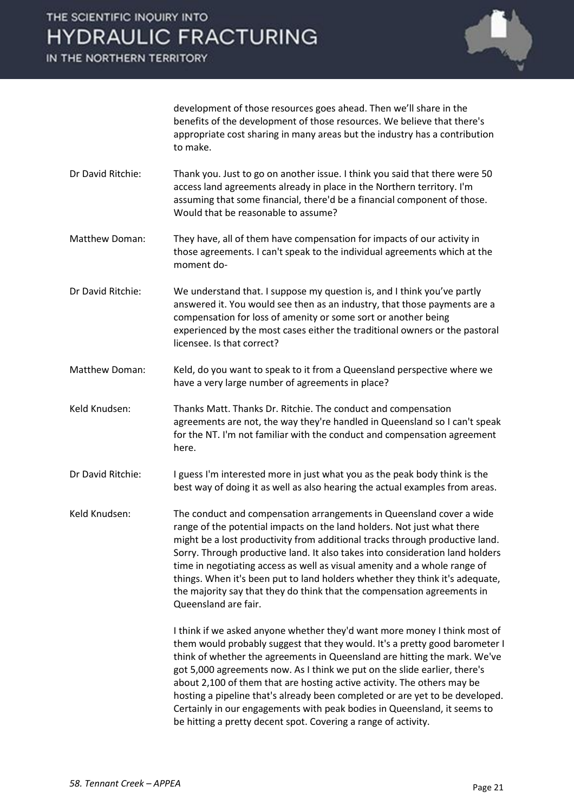IN THE NORTHERN TERRITORY



development of those resources goes ahead. Then we'll share in the benefits of the development of those resources. We believe that there's appropriate cost sharing in many areas but the industry has a contribution to make.

- Dr David Ritchie: Thank you. Just to go on another issue. I think you said that there were 50 access land agreements already in place in the Northern territory. I'm assuming that some financial, there'd be a financial component of those. Would that be reasonable to assume?
- Matthew Doman: They have, all of them have compensation for impacts of our activity in those agreements. I can't speak to the individual agreements which at the moment do-
- Dr David Ritchie: We understand that. I suppose my question is, and I think you've partly answered it. You would see then as an industry, that those payments are a compensation for loss of amenity or some sort or another being experienced by the most cases either the traditional owners or the pastoral licensee. Is that correct?
- Matthew Doman: Keld, do you want to speak to it from a Queensland perspective where we have a very large number of agreements in place?
- Keld Knudsen: Thanks Matt. Thanks Dr. Ritchie. The conduct and compensation agreements are not, the way they're handled in Queensland so I can't speak for the NT. I'm not familiar with the conduct and compensation agreement here.
- Dr David Ritchie: I guess I'm interested more in just what you as the peak body think is the best way of doing it as well as also hearing the actual examples from areas.
- Keld Knudsen: The conduct and compensation arrangements in Queensland cover a wide range of the potential impacts on the land holders. Not just what there might be a lost productivity from additional tracks through productive land. Sorry. Through productive land. It also takes into consideration land holders time in negotiating access as well as visual amenity and a whole range of things. When it's been put to land holders whether they think it's adequate, the majority say that they do think that the compensation agreements in Queensland are fair.

I think if we asked anyone whether they'd want more money I think most of them would probably suggest that they would. It's a pretty good barometer I think of whether the agreements in Queensland are hitting the mark. We've got 5,000 agreements now. As I think we put on the slide earlier, there's about 2,100 of them that are hosting active activity. The others may be hosting a pipeline that's already been completed or are yet to be developed. Certainly in our engagements with peak bodies in Queensland, it seems to be hitting a pretty decent spot. Covering a range of activity.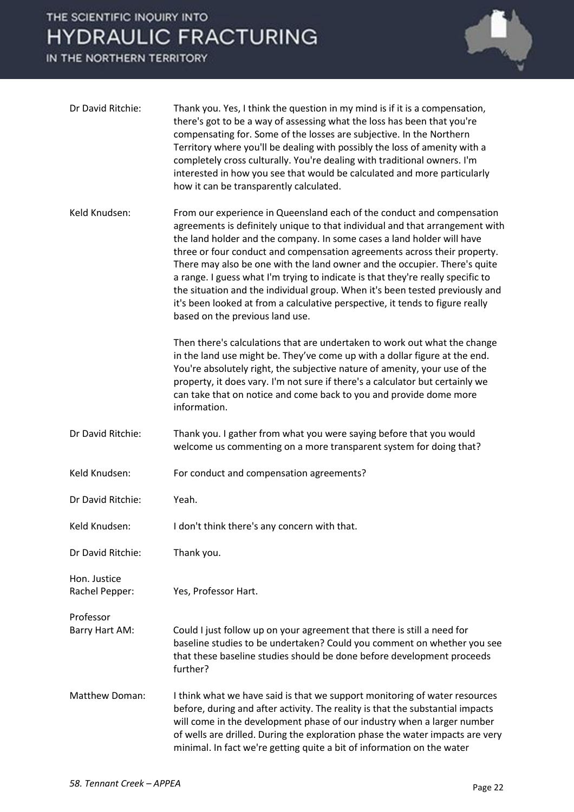

| Dr David Ritchie:              | Thank you. Yes, I think the question in my mind is if it is a compensation,<br>there's got to be a way of assessing what the loss has been that you're<br>compensating for. Some of the losses are subjective. In the Northern<br>Territory where you'll be dealing with possibly the loss of amenity with a<br>completely cross culturally. You're dealing with traditional owners. I'm<br>interested in how you see that would be calculated and more particularly<br>how it can be transparently calculated.                                                                                                                                                                                                                                                                                                                             |
|--------------------------------|---------------------------------------------------------------------------------------------------------------------------------------------------------------------------------------------------------------------------------------------------------------------------------------------------------------------------------------------------------------------------------------------------------------------------------------------------------------------------------------------------------------------------------------------------------------------------------------------------------------------------------------------------------------------------------------------------------------------------------------------------------------------------------------------------------------------------------------------|
| Keld Knudsen:                  | From our experience in Queensland each of the conduct and compensation<br>agreements is definitely unique to that individual and that arrangement with<br>the land holder and the company. In some cases a land holder will have<br>three or four conduct and compensation agreements across their property.<br>There may also be one with the land owner and the occupier. There's quite<br>a range. I guess what I'm trying to indicate is that they're really specific to<br>the situation and the individual group. When it's been tested previously and<br>it's been looked at from a calculative perspective, it tends to figure really<br>based on the previous land use.<br>Then there's calculations that are undertaken to work out what the change<br>in the land use might be. They've come up with a dollar figure at the end. |
|                                | You're absolutely right, the subjective nature of amenity, your use of the<br>property, it does vary. I'm not sure if there's a calculator but certainly we<br>can take that on notice and come back to you and provide dome more<br>information.                                                                                                                                                                                                                                                                                                                                                                                                                                                                                                                                                                                           |
| Dr David Ritchie:              | Thank you. I gather from what you were saying before that you would<br>welcome us commenting on a more transparent system for doing that?                                                                                                                                                                                                                                                                                                                                                                                                                                                                                                                                                                                                                                                                                                   |
| Keld Knudsen:                  | For conduct and compensation agreements?                                                                                                                                                                                                                                                                                                                                                                                                                                                                                                                                                                                                                                                                                                                                                                                                    |
| Dr David Ritchie:              | Yeah.                                                                                                                                                                                                                                                                                                                                                                                                                                                                                                                                                                                                                                                                                                                                                                                                                                       |
| Keld Knudsen:                  | I don't think there's any concern with that.                                                                                                                                                                                                                                                                                                                                                                                                                                                                                                                                                                                                                                                                                                                                                                                                |
| Dr David Ritchie:              | Thank you.                                                                                                                                                                                                                                                                                                                                                                                                                                                                                                                                                                                                                                                                                                                                                                                                                                  |
| Hon. Justice<br>Rachel Pepper: | Yes, Professor Hart.                                                                                                                                                                                                                                                                                                                                                                                                                                                                                                                                                                                                                                                                                                                                                                                                                        |
| Professor<br>Barry Hart AM:    | Could I just follow up on your agreement that there is still a need for<br>baseline studies to be undertaken? Could you comment on whether you see<br>that these baseline studies should be done before development proceeds<br>further?                                                                                                                                                                                                                                                                                                                                                                                                                                                                                                                                                                                                    |
| Matthew Doman:                 | I think what we have said is that we support monitoring of water resources<br>before, during and after activity. The reality is that the substantial impacts<br>will come in the development phase of our industry when a larger number<br>of wells are drilled. During the exploration phase the water impacts are very<br>minimal. In fact we're getting quite a bit of information on the water                                                                                                                                                                                                                                                                                                                                                                                                                                          |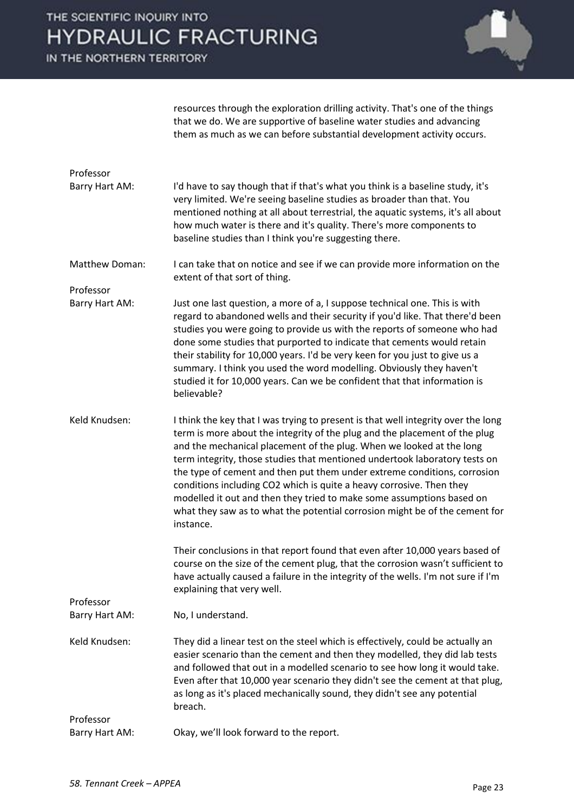IN THE NORTHERN TERRITORY



resources through the exploration drilling activity. That's one of the things that we do. We are supportive of baseline water studies and advancing them as much as we can before substantial development activity occurs.

| Professor                   |                                                                                                                                                                                                                                                                                                                                                                                                                                                                                                                                                                                                                                                |
|-----------------------------|------------------------------------------------------------------------------------------------------------------------------------------------------------------------------------------------------------------------------------------------------------------------------------------------------------------------------------------------------------------------------------------------------------------------------------------------------------------------------------------------------------------------------------------------------------------------------------------------------------------------------------------------|
| Barry Hart AM:              | I'd have to say though that if that's what you think is a baseline study, it's<br>very limited. We're seeing baseline studies as broader than that. You<br>mentioned nothing at all about terrestrial, the aquatic systems, it's all about<br>how much water is there and it's quality. There's more components to<br>baseline studies than I think you're suggesting there.                                                                                                                                                                                                                                                                   |
| Matthew Doman:              | I can take that on notice and see if we can provide more information on the<br>extent of that sort of thing.                                                                                                                                                                                                                                                                                                                                                                                                                                                                                                                                   |
| Professor                   |                                                                                                                                                                                                                                                                                                                                                                                                                                                                                                                                                                                                                                                |
| Barry Hart AM:              | Just one last question, a more of a, I suppose technical one. This is with<br>regard to abandoned wells and their security if you'd like. That there'd been<br>studies you were going to provide us with the reports of someone who had<br>done some studies that purported to indicate that cements would retain<br>their stability for 10,000 years. I'd be very keen for you just to give us a<br>summary. I think you used the word modelling. Obviously they haven't<br>studied it for 10,000 years. Can we be confident that that information is<br>believable?                                                                          |
| Keld Knudsen:               | I think the key that I was trying to present is that well integrity over the long<br>term is more about the integrity of the plug and the placement of the plug<br>and the mechanical placement of the plug. When we looked at the long<br>term integrity, those studies that mentioned undertook laboratory tests on<br>the type of cement and then put them under extreme conditions, corrosion<br>conditions including CO2 which is quite a heavy corrosive. Then they<br>modelled it out and then they tried to make some assumptions based on<br>what they saw as to what the potential corrosion might be of the cement for<br>instance. |
|                             | Their conclusions in that report found that even after 10,000 years based of<br>course on the size of the cement plug, that the corrosion wasn't sufficient to<br>have actually caused a failure in the integrity of the wells. I'm not sure if I'm<br>explaining that very well.                                                                                                                                                                                                                                                                                                                                                              |
| Professor<br>Barry Hart AM: | No, I understand.                                                                                                                                                                                                                                                                                                                                                                                                                                                                                                                                                                                                                              |
|                             |                                                                                                                                                                                                                                                                                                                                                                                                                                                                                                                                                                                                                                                |
| Keld Knudsen:               | They did a linear test on the steel which is effectively, could be actually an<br>easier scenario than the cement and then they modelled, they did lab tests<br>and followed that out in a modelled scenario to see how long it would take.<br>Even after that 10,000 year scenario they didn't see the cement at that plug,<br>as long as it's placed mechanically sound, they didn't see any potential<br>breach.                                                                                                                                                                                                                            |
| Professor                   |                                                                                                                                                                                                                                                                                                                                                                                                                                                                                                                                                                                                                                                |
| Barry Hart AM:              | Okay, we'll look forward to the report.                                                                                                                                                                                                                                                                                                                                                                                                                                                                                                                                                                                                        |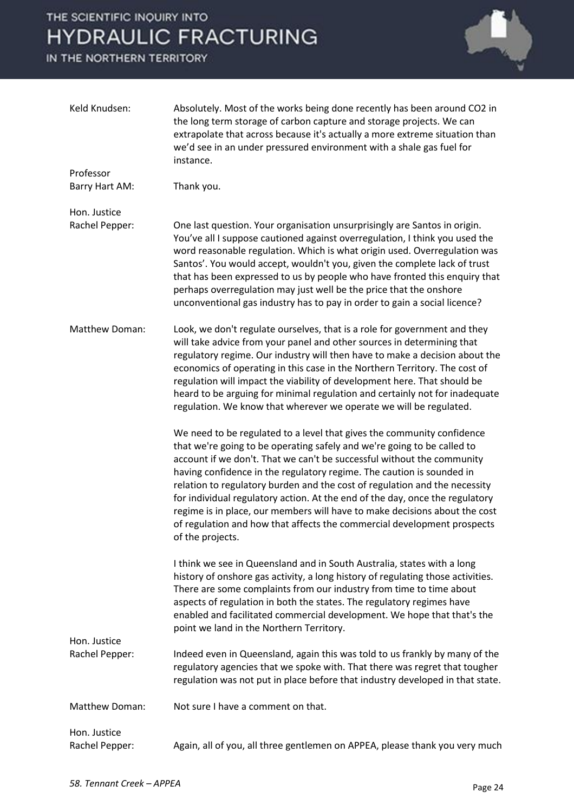

| Keld Knudsen:                  | Absolutely. Most of the works being done recently has been around CO2 in<br>the long term storage of carbon capture and storage projects. We can<br>extrapolate that across because it's actually a more extreme situation than<br>we'd see in an under pressured environment with a shale gas fuel for<br>instance.                                                                                                                                                                                                                                                                                                                            |
|--------------------------------|-------------------------------------------------------------------------------------------------------------------------------------------------------------------------------------------------------------------------------------------------------------------------------------------------------------------------------------------------------------------------------------------------------------------------------------------------------------------------------------------------------------------------------------------------------------------------------------------------------------------------------------------------|
| Professor                      |                                                                                                                                                                                                                                                                                                                                                                                                                                                                                                                                                                                                                                                 |
| Barry Hart AM:                 | Thank you.                                                                                                                                                                                                                                                                                                                                                                                                                                                                                                                                                                                                                                      |
| Hon. Justice<br>Rachel Pepper: | One last question. Your organisation unsurprisingly are Santos in origin.<br>You've all I suppose cautioned against overregulation, I think you used the<br>word reasonable regulation. Which is what origin used. Overregulation was<br>Santos'. You would accept, wouldn't you, given the complete lack of trust<br>that has been expressed to us by people who have fronted this enquiry that<br>perhaps overregulation may just well be the price that the onshore<br>unconventional gas industry has to pay in order to gain a social licence?                                                                                             |
| Matthew Doman:                 | Look, we don't regulate ourselves, that is a role for government and they<br>will take advice from your panel and other sources in determining that<br>regulatory regime. Our industry will then have to make a decision about the<br>economics of operating in this case in the Northern Territory. The cost of<br>regulation will impact the viability of development here. That should be<br>heard to be arguing for minimal regulation and certainly not for inadequate<br>regulation. We know that wherever we operate we will be regulated.                                                                                               |
|                                | We need to be regulated to a level that gives the community confidence<br>that we're going to be operating safely and we're going to be called to<br>account if we don't. That we can't be successful without the community<br>having confidence in the regulatory regime. The caution is sounded in<br>relation to regulatory burden and the cost of regulation and the necessity<br>for individual regulatory action. At the end of the day, once the regulatory<br>regime is in place, our members will have to make decisions about the cost<br>of regulation and how that affects the commercial development prospects<br>of the projects. |
|                                | I think we see in Queensland and in South Australia, states with a long<br>history of onshore gas activity, a long history of regulating those activities.<br>There are some complaints from our industry from time to time about<br>aspects of regulation in both the states. The regulatory regimes have<br>enabled and facilitated commercial development. We hope that that's the<br>point we land in the Northern Territory.                                                                                                                                                                                                               |
| Hon. Justice<br>Rachel Pepper: | Indeed even in Queensland, again this was told to us frankly by many of the<br>regulatory agencies that we spoke with. That there was regret that tougher<br>regulation was not put in place before that industry developed in that state.                                                                                                                                                                                                                                                                                                                                                                                                      |
| <b>Matthew Doman:</b>          | Not sure I have a comment on that.                                                                                                                                                                                                                                                                                                                                                                                                                                                                                                                                                                                                              |
| Hon. Justice<br>Rachel Pepper: | Again, all of you, all three gentlemen on APPEA, please thank you very much                                                                                                                                                                                                                                                                                                                                                                                                                                                                                                                                                                     |